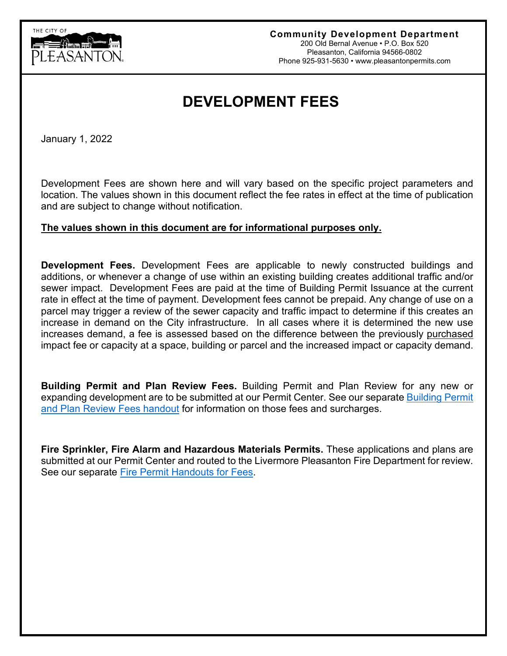

# **DEVELOPMENT FEES**

January 1, 2022

Development Fees are shown here and will vary based on the specific project parameters and location. The values shown in this document reflect the fee rates in effect at the time of publication and are subject to change without notification.

#### **The values shown in this document are for informational purposes only.**

**Development Fees.** Development Fees are applicable to newly constructed buildings and additions, or whenever a change of use within an existing building creates additional traffic and/or sewer impact. Development Fees are paid at the time of Building Permit Issuance at the current rate in effect at the time of payment. Development fees cannot be prepaid. Any change of use on a parcel may trigger a review of the sewer capacity and traffic impact to determine if this creates an increase in demand on the City infrastructure. In all cases where it is determined the new use increases demand, a fee is assessed based on the difference between the previously purchased impact fee or capacity at a space, building or parcel and the increased impact or capacity demand.

**Building Permit and Plan Review Fees.** Building Permit and Plan Review for any new or expanding development are to be submitted at our Permit Center. See our separate [Building Permit](http://www.cityofpleasantonca.gov/gov/depts/cd/permit/fee.asp)  [and Plan Review Fees handout](http://www.cityofpleasantonca.gov/gov/depts/cd/permit/fee.asp) for information on those fees and surcharges.

**Fire Sprinkler, Fire Alarm and Hazardous Materials Permits.** These applications and plans are submitted at our Permit Center and routed to the Livermore Pleasanton Fire Department for review. See our separate [Fire Permit Handouts for Fees.](http://www.cityofpleasantonca.gov/gov/depts/cd/permit/fee.asp)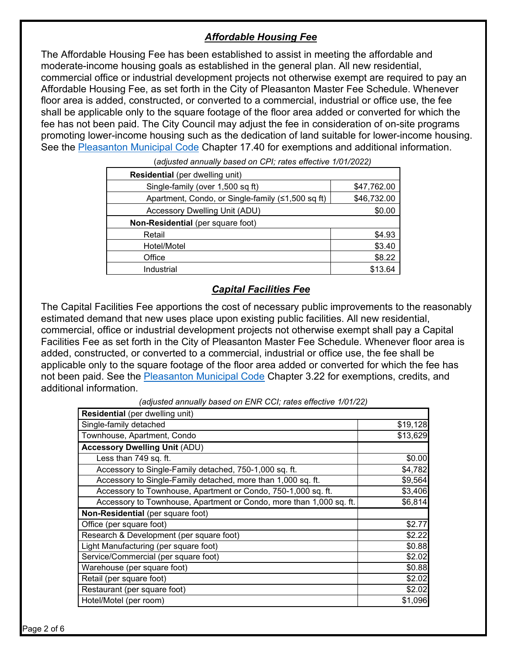# *Affordable Housing Fee*

The Affordable Housing Fee has been established to assist in meeting the affordable and moderate-income housing goals as established in the general plan. All new residential, commercial office or industrial development projects not otherwise exempt are required to pay an Affordable Housing Fee, as set forth in the City of Pleasanton Master Fee Schedule. Whenever floor area is added, constructed, or converted to a commercial, industrial or office use, the fee shall be applicable only to the square footage of the floor area added or converted for which the fee has not been paid. The City Council may adjust the fee in consideration of on-site programs promoting lower-income housing such as the dedication of land suitable for lower-income housing. See the [Pleasanton Municipal Code](http://qcode.us/codes/pleasanton/) Chapter 17.40 for exemptions and additional information.

| <b>Residential</b> (per dwelling unit)            |             |
|---------------------------------------------------|-------------|
| Single-family (over 1,500 sq ft)                  | \$47,762.00 |
| Apartment, Condo, or Single-family (≤1,500 sq ft) | \$46,732.00 |
| Accessory Dwelling Unit (ADU)                     | \$0.00      |
| Non-Residential (per square foot)                 |             |
| Retail                                            | \$4.93      |
| Hotel/Motel                                       | \$3.40      |
| Office                                            | \$8.22      |
| Industrial                                        | \$13.64     |

(*adjusted annually based on CPI; rates effective 1/01/2022)*

## *Capital Facilities Fee*

The Capital Facilities Fee apportions the cost of necessary public improvements to the reasonably estimated demand that new uses place upon existing public facilities. All new residential, commercial, office or industrial development projects not otherwise exempt shall pay a Capital Facilities Fee as set forth in the City of Pleasanton Master Fee Schedule. Whenever floor area is added, constructed, or converted to a commercial, industrial or office use, the fee shall be applicable only to the square footage of the floor area added or converted for which the fee has not been paid. See the [Pleasanton Municipal Code](http://qcode.us/codes/pleasanton/) Chapter 3.22 for exemptions, credits, and additional information.

| Residential (per dwelling unit)                                     |          |
|---------------------------------------------------------------------|----------|
| Single-family detached                                              | \$19,128 |
| Townhouse, Apartment, Condo                                         | \$13,629 |
| <b>Accessory Dwelling Unit (ADU)</b>                                |          |
| Less than 749 sq. ft.                                               | \$0.00   |
| Accessory to Single-Family detached, 750-1,000 sq. ft.              | \$4,782  |
| Accessory to Single-Family detached, more than 1,000 sq. ft.        | \$9,564  |
| Accessory to Townhouse, Apartment or Condo, 750-1,000 sq. ft.       | \$3,406  |
| Accessory to Townhouse, Apartment or Condo, more than 1,000 sq. ft. | \$6,814  |
| Non-Residential (per square foot)                                   |          |
| Office (per square foot)                                            | \$2.77   |
| Research & Development (per square foot)                            | \$2.22   |
| Light Manufacturing (per square foot)                               | \$0.88   |
| Service/Commercial (per square foot)                                | \$2.02   |
| Warehouse (per square foot)                                         | \$0.88   |
| Retail (per square foot)                                            | \$2.02   |
| Restaurant (per square foot)                                        | \$2.02   |
| Hotel/Motel (per room)                                              | \$1,096  |

*(adjusted annually based on ENR CCI; rates effective 1/01/22)*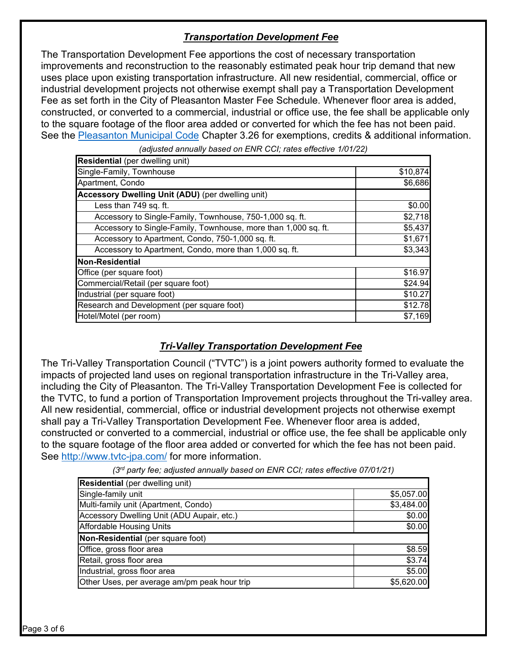# *Transportation Development Fee*

The Transportation Development Fee apportions the cost of necessary transportation improvements and reconstruction to the reasonably estimated peak hour trip demand that new uses place upon existing transportation infrastructure. All new residential, commercial, office or industrial development projects not otherwise exempt shall pay a Transportation Development Fee as set forth in the City of Pleasanton Master Fee Schedule. Whenever floor area is added, constructed, or converted to a commercial, industrial or office use, the fee shall be applicable only to the square footage of the floor area added or converted for which the fee has not been paid. See the [Pleasanton Municipal Code](http://qcode.us/codes/pleasanton/) Chapter 3.26 for exemptions, credits & additional information.

**Residential** (per dwelling unit) Single-Family, Townhouse \$10,874 Apartment, Condo \$6,686 **Accessory Dwelling Unit (ADU)** (per dwelling unit) Less than 749 sq. ft.  $$0.00$ Accessory to Single-Family, Townhouse, 750-1,000 sq. ft.  $\qquad \qquad$  \$2,718 Accessory to Single-Family, Townhouse, more than 1,000 sq. ft. **\$5,437** Accessory to Apartment, Condo, 750-1,000 sq. ft.  $$1,671$ Accessory to Apartment, Condo, more than 1,000 sq. ft.  $\qquad \qquad$  \$3,343 **Non-Residential** Office (per square foot) \$16.97 Commercial/Retail (per square foot) \$24.94 Industrial (per square foot) \$10.27 Research and Development (per square foot) \$12.78 Hotel/Motel (per room) \$7,169

*(adjusted annually based on ENR CCI; rates effective 1/01/22)*

## *Tri-Valley Transportation Development Fee*

The Tri-Valley Transportation Council ("TVTC") is a joint powers authority formed to evaluate the impacts of projected land uses on regional transportation infrastructure in the Tri-Valley area, including the City of Pleasanton. The Tri-Valley Transportation Development Fee is collected for the TVTC, to fund a portion of Transportation Improvement projects throughout the Tri-valley area. All new residential, commercial, office or industrial development projects not otherwise exempt shall pay a Tri-Valley Transportation Development Fee. Whenever floor area is added, constructed or converted to a commercial, industrial or office use, the fee shall be applicable only to the square footage of the floor area added or converted for which the fee has not been paid. See<http://www.tvtc-jpa.com/> for more information.

| <b>Residential</b> (per dwelling unit)       |            |  |  |
|----------------------------------------------|------------|--|--|
| Single-family unit                           | \$5,057.00 |  |  |
| Multi-family unit (Apartment, Condo)         | \$3,484.00 |  |  |
| Accessory Dwelling Unit (ADU Aupair, etc.)   | \$0.00     |  |  |
| <b>Affordable Housing Units</b>              | \$0.00     |  |  |
| Non-Residential (per square foot)            |            |  |  |
| Office, gross floor area                     | \$8.59     |  |  |
| Retail, gross floor area                     | \$3.74     |  |  |
| Industrial, gross floor area                 | \$5.00     |  |  |
| Other Uses, per average am/pm peak hour trip | \$5,620.00 |  |  |

*(3rd party fee; adjusted annually based on ENR CCI; rates effective 07/01/21)*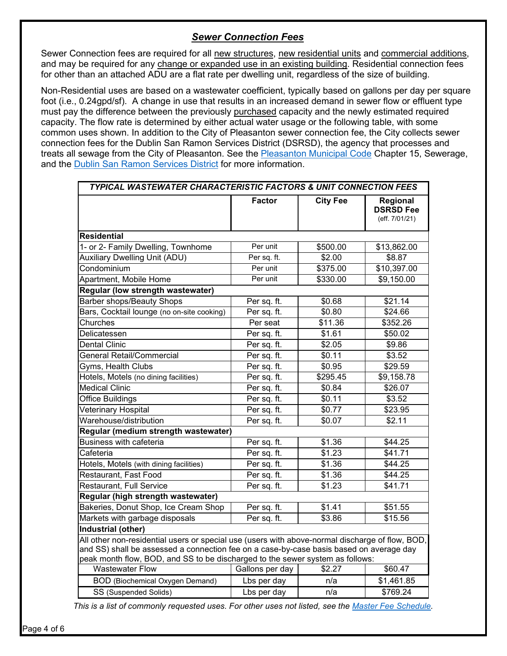## *Sewer Connection Fees*

Sewer Connection fees are required for all new structures, new residential units and commercial additions, and may be required for any change or expanded use in an existing building. Residential connection fees for other than an attached ADU are a flat rate per dwelling unit, regardless of the size of building.

Non-Residential uses are based on a wastewater coefficient, typically based on gallons per day per square foot (i.e., 0.24gpd/sf). A change in use that results in an increased demand in sewer flow or effluent type must pay the difference between the previously purchased capacity and the newly estimated required capacity. The flow rate is determined by either actual water usage or the following table, with some common uses shown. In addition to the City of Pleasanton sewer connection fee, the City collects sewer connection fees for the Dublin San Ramon Services District (DSRSD), the agency that processes and treats all sewage from the City of Pleasanton. See the **Pleasanton Municipal Code Chapter 15**, Sewerage, and the [Dublin San Ramon Services District](https://www.dsrsd.com/) for more information.

| <b>TYPICAL WASTEWATER CHARACTERISTIC FACTORS &amp; UNIT CONNECTION FEES</b>                                                                                                                                                                                                 |                       |                        |                                                |  |  |  |  |
|-----------------------------------------------------------------------------------------------------------------------------------------------------------------------------------------------------------------------------------------------------------------------------|-----------------------|------------------------|------------------------------------------------|--|--|--|--|
|                                                                                                                                                                                                                                                                             | <b>Factor</b>         | <b>City Fee</b>        | Regional<br><b>DSRSD Fee</b><br>(eff. 7/01/21) |  |  |  |  |
| <b>Residential</b>                                                                                                                                                                                                                                                          |                       |                        |                                                |  |  |  |  |
| 1- or 2- Family Dwelling, Townhome                                                                                                                                                                                                                                          | Per unit              | \$500.00               | \$13,862.00                                    |  |  |  |  |
| <b>Auxiliary Dwelling Unit (ADU)</b>                                                                                                                                                                                                                                        | Per sq. ft.           | \$2.00                 | \$8.87                                         |  |  |  |  |
| Condominium                                                                                                                                                                                                                                                                 | Per unit              | \$375.00               | \$10,397.00                                    |  |  |  |  |
| Apartment, Mobile Home                                                                                                                                                                                                                                                      | Per unit              | \$330.00<br>\$9,150.00 |                                                |  |  |  |  |
| Regular (low strength wastewater)                                                                                                                                                                                                                                           |                       |                        |                                                |  |  |  |  |
| <b>Barber shops/Beauty Shops</b>                                                                                                                                                                                                                                            | Per sq. ft.           | \$0.68                 | \$21.14                                        |  |  |  |  |
| Bars, Cocktail lounge (no on-site cooking)                                                                                                                                                                                                                                  | Per sq. ft.           | \$0.80                 | \$24.66                                        |  |  |  |  |
| Churches                                                                                                                                                                                                                                                                    | Per seat              | \$11.36                | \$352.26                                       |  |  |  |  |
| Delicatessen                                                                                                                                                                                                                                                                | Per sq. ft.           | \$1.61                 | \$50.02                                        |  |  |  |  |
| <b>Dental Clinic</b>                                                                                                                                                                                                                                                        | Per sq. ft.           | \$2.05                 | \$9.86                                         |  |  |  |  |
| General Retail/Commercial                                                                                                                                                                                                                                                   | Per sq. ft.           | \$0.11                 | \$3.52                                         |  |  |  |  |
| Gyms, Health Clubs                                                                                                                                                                                                                                                          | Per sq. ft.<br>\$0.95 |                        | \$29.59                                        |  |  |  |  |
| Hotels, Motels (no dining facilities)                                                                                                                                                                                                                                       | Per sq. ft.           | \$295.45               | \$9,158.78                                     |  |  |  |  |
| <b>Medical Clinic</b>                                                                                                                                                                                                                                                       | Per sq. ft.           | \$0.84                 | \$26.07                                        |  |  |  |  |
| Office Buildings                                                                                                                                                                                                                                                            | Per sq. ft.           | \$0.11                 | \$3.52                                         |  |  |  |  |
| <b>Veterinary Hospital</b>                                                                                                                                                                                                                                                  | Per sq. ft.           | \$0.77                 | \$23.95                                        |  |  |  |  |
| Warehouse/distribution                                                                                                                                                                                                                                                      | Per sq. ft.           | \$0.07                 | \$2.11                                         |  |  |  |  |
| Regular (medium strength wastewater)                                                                                                                                                                                                                                        |                       |                        |                                                |  |  |  |  |
| <b>Business with cafeteria</b>                                                                                                                                                                                                                                              | Per sq. ft.           | \$1.36                 | \$44.25                                        |  |  |  |  |
| Cafeteria                                                                                                                                                                                                                                                                   | Per sq. ft.           | \$1.23                 | \$41.71                                        |  |  |  |  |
| Hotels, Motels (with dining facilities)                                                                                                                                                                                                                                     | Per sq. ft.<br>\$1.36 |                        | \$44.25                                        |  |  |  |  |
| Restaurant, Fast Food                                                                                                                                                                                                                                                       | Per sq. ft.           | \$1.36                 | \$44.25                                        |  |  |  |  |
| Restaurant, Full Service                                                                                                                                                                                                                                                    | Per sq. ft.           | \$1.23                 | \$41.71                                        |  |  |  |  |
| Regular (high strength wastewater)                                                                                                                                                                                                                                          |                       |                        |                                                |  |  |  |  |
| Bakeries, Donut Shop, Ice Cream Shop                                                                                                                                                                                                                                        | Per sq. ft.           | \$1.41                 | \$51.55                                        |  |  |  |  |
| Markets with garbage disposals                                                                                                                                                                                                                                              | Per sq. ft.           | \$3.86                 | \$15.56                                        |  |  |  |  |
| <b>Industrial (other)</b>                                                                                                                                                                                                                                                   |                       |                        |                                                |  |  |  |  |
| All other non-residential users or special use (users with above-normal discharge of flow, BOD,<br>and SS) shall be assessed a connection fee on a case-by-case basis based on average day<br>peak month flow, BOD, and SS to be discharged to the sewer system as follows: |                       |                        |                                                |  |  |  |  |
| Wastewater Flow                                                                                                                                                                                                                                                             | Gallons per day       | \$2.27                 | \$60.47                                        |  |  |  |  |
| <b>BOD</b> (Biochemical Oxygen Demand)                                                                                                                                                                                                                                      | Lbs per day<br>n/a    |                        | \$1,461.85                                     |  |  |  |  |
| SS (Suspended Solids)                                                                                                                                                                                                                                                       | Lbs per day           | n/a                    | \$769.24                                       |  |  |  |  |

*This is a list of commonly requested uses. For other uses not listed, see the [Master Fee Schedule.](https://www.cityofpleasantonca.gov/gov/depts/finance/info.asp)*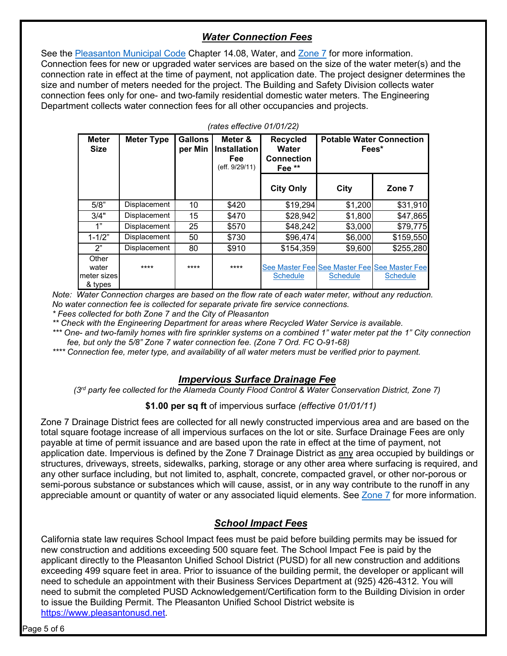## *Water Connection Fees*

See the [Pleasanton Municipal Code](http://qcode.us/codes/pleasanton/) Chapter 14.08, Water, and [Zone 7](http://www.zone7water.com/) for more information. Connection fees for new or upgraded water services are based on the size of the water meter(s) and the connection rate in effect at the time of payment, not application date. The project designer determines the size and number of meters needed for the project. The Building and Safety Division collects water connection fees only for one- and two-family residential domestic water meters. The Engineering Department collects water connection fees for all other occupancies and projects.

| <b>Meter</b><br><b>Size</b>                | <b>Meter Type</b>   | <b>Gallons</b><br>per Min | Meter &<br><b>Installation</b><br><b>Fee</b><br>(eff. 9/29/11) | <b>Recycled</b><br>Water<br><b>Connection</b><br>Fee <sup>**</sup> | <b>Potable Water Connection</b> | Fees*                                                           |
|--------------------------------------------|---------------------|---------------------------|----------------------------------------------------------------|--------------------------------------------------------------------|---------------------------------|-----------------------------------------------------------------|
|                                            |                     |                           |                                                                | <b>City Only</b>                                                   | City                            | Zone 7                                                          |
| 5/8"                                       | <b>Displacement</b> | 10                        | \$420                                                          | \$19,294                                                           | \$1,200                         | \$31,910                                                        |
| 3/4"                                       | <b>Displacement</b> | 15                        | \$470                                                          | \$28,942                                                           | \$1,800                         | \$47,865                                                        |
| 1"                                         | <b>Displacement</b> | 25                        | \$570                                                          | \$48,242                                                           | \$3,000                         | \$79,775                                                        |
| $1 - 1/2"$                                 | <b>Displacement</b> | 50                        | \$730                                                          | \$96,474                                                           | \$6,000                         | \$159,550                                                       |
| 2"                                         | <b>Displacement</b> | 80                        | \$910                                                          | \$154,359                                                          | \$9,600                         | \$255,280                                                       |
| Other<br>water<br>lmeter sizesl<br>& types | ****                | ****                      | ****                                                           | <b>Schedule</b>                                                    | <b>Schedule</b>                 | See Master Fee See Master Fee See Master Fee<br><b>Schedule</b> |

*(rates effective 01/01/22)*

*Note: Water Connection charges are based on the flow rate of each water meter, without any reduction. No water connection fee is collected for separate private fire service connections.*

*\* Fees collected for both Zone 7 and the City of Pleasanton*

*\*\* Check with the Engineering Department for areas where Recycled Water Service is available.*

*\*\*\* One- and two-family homes with fire sprinkler systems on a combined 1" water meter pat the 1" City connection fee, but only the 5/8" Zone 7 water connection fee. (Zone 7 Ord. FC O-91-68)*

*\*\*\*\* Connection fee, meter type, and availability of all water meters must be verified prior to payment.*

#### *Impervious Surface Drainage Fee*

*(3rd party fee collected for the Alameda County Flood Control & Water Conservation District, Zone 7)*

**\$1.00 per sq ft** of impervious surface *(effective 01/01/11)*

Zone 7 Drainage District fees are collected for all newly constructed impervious area and are based on the total square footage increase of all impervious surfaces on the lot or site. Surface Drainage Fees are only payable at time of permit issuance and are based upon the rate in effect at the time of payment, not application date. Impervious is defined by the Zone 7 Drainage District as any area occupied by buildings or structures, driveways, streets, sidewalks, parking, storage or any other area where surfacing is required, and any other surface including, but not limited to, asphalt, concrete, compacted gravel, or other nor-porous or semi-porous substance or substances which will cause, assist, or in any way contribute to the runoff in any appreciable amount or quantity of water or any associated liquid elements. See [Zone 7](http://www.zone7water.com/) for more information.

## *School Impact Fees*

California state law requires School Impact fees must be paid before building permits may be issued for new construction and additions exceeding 500 square feet. The School Impact Fee is paid by the applicant directly to the Pleasanton Unified School District (PUSD) for all new construction and additions exceeding 499 square feet in area. Prior to issuance of the building permit, the developer or applicant will need to schedule an appointment with their Business Services Department at (925) 426-4312. You will need to submit the completed PUSD Acknowledgement/Certification form to the Building Division in order to issue the Building Permit. The Pleasanton Unified School District website is [https://www.pleasantonusd.net.](https://www.pleasantonusd.net/)

Page 5 of 6